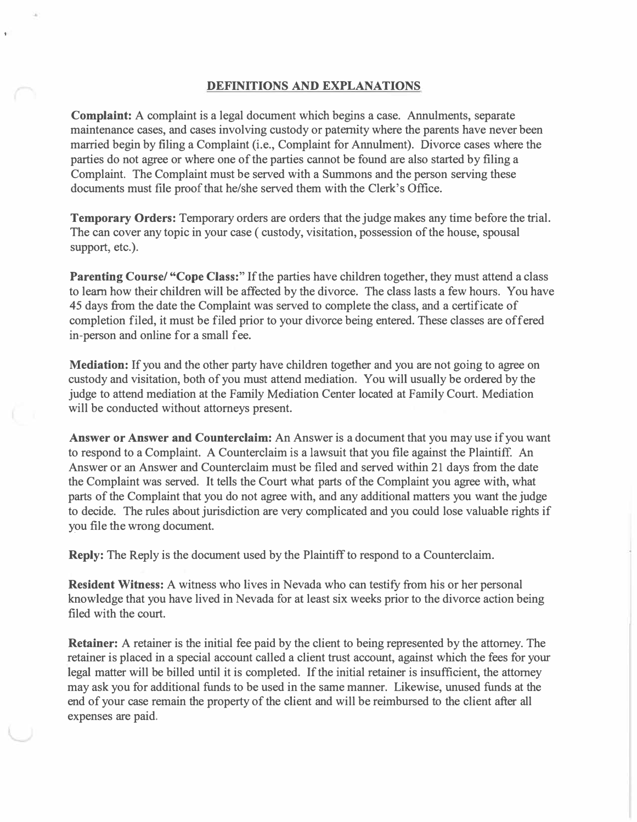## **DEFINITIONS AND EXPLANATIONS**

**Complaint:** A complaint is a legal document which begins a case. Annulments, separate maintenance cases, and cases involving custody or paternity where the parents have never been married begin by filing a Complaint (i.e., Complaint for Annulment). Divorce cases where the parties do not agree or where one of the parties cannot be found are also started by filing a Complaint. The Complaint must be served with a Summons and the person serving these documents must file proof that he/she served them with the Clerk's Office.

**Temporary Orders:** Temporary orders are orders that the judge makes any time before the trial. The can cover any topic in your case ( custody, visitation, possession of the house, spousal support, etc.).

**Parenting Course/ "Cope Class:"** If the parties have children together, they must attend a class to learn how their children will be affected by the divorce. The class lasts a few hours. You have 45 days from the date the Complaint was served to complete the class, and a certificate of completion filed, it must be filed prior to your divorce being entered. These classes are offered in-person and online for a small fee.

**Mediation:** If you and the other party have children together and you are not going to agree on custody and visitation, both of you must attend mediation. You will usually be ordered by the judge to attend mediation at the Family Mediation Center located at Family Court. Mediation will be conducted without attorneys present.

**Answer or Answer and Counterclaim:** An Answer is a document that you may use if you want to respond to a Complaint. A Counterclaim is a lawsuit that you file against the Plaintiff. An Answer or an Answer and Counterclaim must be filed and served within 21 days from the date the Complaint was served. It tells the Court what parts of the Complaint you agree with, what parts of the Complaint that you do not agree with, and any additional matters you want the judge to decide. The rules about jurisdiction are very complicated and you could lose valuable rights if you file the wrong document.

**Reply:** The Reply is the document used by the Plaintiff to respond to a Counterclaim.

**Resident Witness:** A witness who lives in Nevada who can testify from his or her personal knowledge that you have lived in Nevada for at least six weeks prior to the divorce action being filed with the court.

**Retainer:** A retainer is the initial fee paid by the client to being represented by the attorney. The retainer is placed in a special account called a client trust account, against which the fees for your legal matter will be billed until it is completed. If the initial retainer is insufficient, the attorney may ask you for additional funds to be used in the same manner. Likewise, unused funds at the end of your case remain the property of the client and will be reimbursed to the client after all expenses are paid.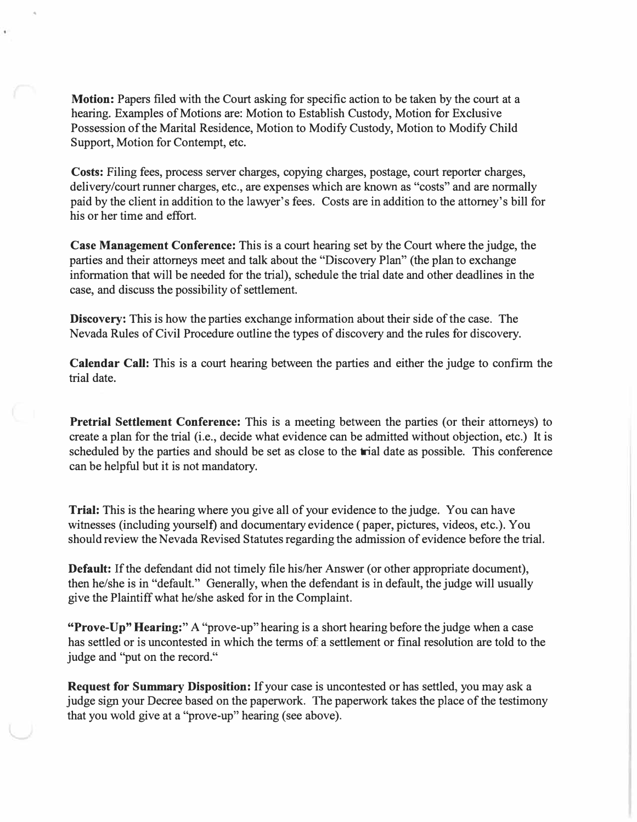**Motion:** Papers filed with the Court asking for specific action to be taken by the court at a hearing. Examples of Motions are: Motion to Establish Custody, Motion for Exclusive Possession of the Marital Residence, Motion to Modify Custody, Motion to Modify Child Support, Motion for Contempt, etc.

**Costs:** Filing fees, process server charges, copying charges, postage, court reporter charges, delivery/court runner charges, etc., are expenses which are known as "costs" and are normally paid by the client in addition to the lawyer's fees. Costs are in addition to the attorney's bill for his or her time and effort.

**Case Management Conference:** This is a court hearing set by the Court where the judge, the parties and their attorneys meet and talk about the "Discovery Plan" (the plan to exchange information that will be needed for the trial), schedule the trial date and other deadlines in the case, and discuss the possibility of settlement.

**Discovery:** This is how the parties exchange information about their side of the case. The Nevada Rules of Civil Procedure outline the types of discovery and the rules for discovery.

**Calendar Call:** This is a court hearing between the parties and either the judge to confirm the trial date.

**Pretrial Settlement Conference:** This is a meeting between the parties (or their attorneys) to create a plan for the trial (i.e., decide what evidence can be admitted without objection, etc.) It is scheduled by the parties and should be set as close to the trial date as possible. This conference can be helpful but it is not mandatory.

**Trial:** This is the hearing where you give all of your evidence to the judge. You can have witnesses (including yourself) and documentary evidence ( paper, pictures, videos, etc.). You should review the Nevada Revised Statutes regarding the admission of evidence before the trial.

**Default:** If the defendant did not timely file his/her Answer (or other appropriate document), then he/she is in "default." Generally, when the defendant is in default, the judge will usually give the Plaintiff what he/she asked for in the Complaint.

**"Prove-Up" Hearing:"** A "prove-up" hearing is a short hearing before the judge when a case has settled or is uncontested in which the terms of a settlement or final resolution are told to the judge and "put on the record."

**Request for Summary Disposition:** If your case is uncontested or has settled, you may ask a judge sign your Decree based on the paperwork. The paperwork takes the place of the testimony that you wold give at a "prove-up" hearing (see above).